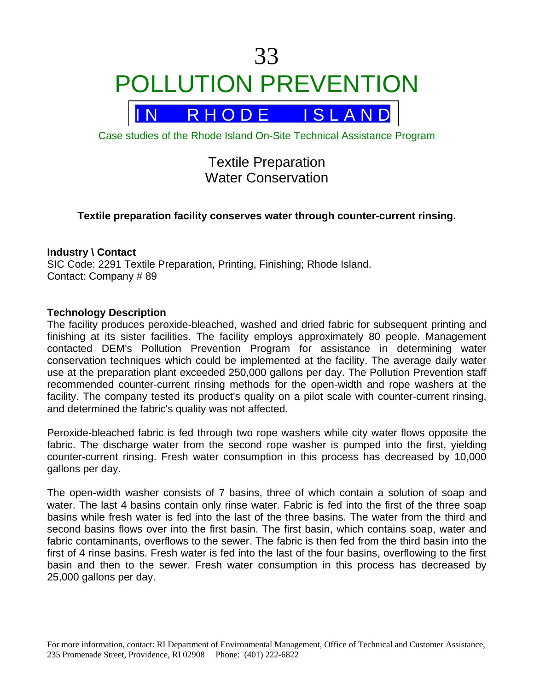# 33 POLLUTION PREVENTION



Case studies of the Rhode Island On-Site Technical Assistance Program

# Textile Preparation Water Conservation

# **Textile preparation facility conserves water through counter-current rinsing.**

#### **Industry \ Contact**

SIC Code: 2291 Textile Preparation, Printing, Finishing; Rhode Island. Contact: Company # 89

#### **Technology Description**

The facility produces peroxide-bleached, washed and dried fabric for subsequent printing and finishing at its sister facilities. The facility employs approximately 80 people. Management contacted DEM's Pollution Prevention Program for assistance in determining water conservation techniques which could be implemented at the facility. The average daily water use at the preparation plant exceeded 250,000 gallons per day. The Pollution Prevention staff recommended counter-current rinsing methods for the open-width and rope washers at the facility. The company tested its product's quality on a pilot scale with counter-current rinsing, and determined the fabric's quality was not affected.

Peroxide-bleached fabric is fed through two rope washers while city water flows opposite the fabric. The discharge water from the second rope washer is pumped into the first, yielding counter-current rinsing. Fresh water consumption in this process has decreased by 10,000 gallons per day.

The open-width washer consists of 7 basins, three of which contain a solution of soap and water. The last 4 basins contain only rinse water. Fabric is fed into the first of the three soap basins while fresh water is fed into the last of the three basins. The water from the third and second basins flows over into the first basin. The first basin, which contains soap, water and fabric contaminants, overflows to the sewer. The fabric is then fed from the third basin into the first of 4 rinse basins. Fresh water is fed into the last of the four basins, overflowing to the first basin and then to the sewer. Fresh water consumption in this process has decreased by 25,000 gallons per day.